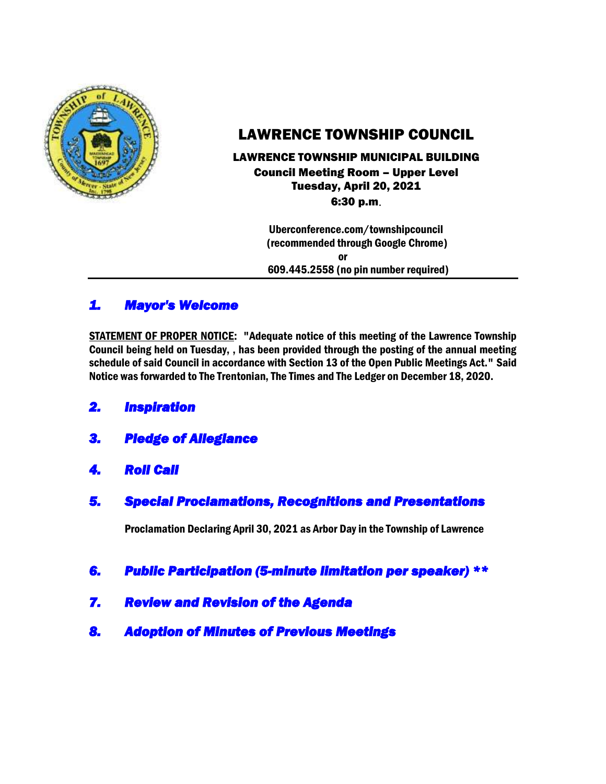

# LAWRENCE TOWNSHIP COUNCIL

### LAWRENCE TOWNSHIP MUNICIPAL BUILDING Council Meeting Room – Upper Level Tuesday, April 20, 2021 6:30 p.m.

 Uberconference.com/townshipcouncil (recommended through Google Chrome) or 609.445.2558 (no pin number required)

# *1. Mayor's Welcome*

STATEMENT OF PROPER NOTICE: "Adequate notice of this meeting of the Lawrence Township Council being held on Tuesday, , has been provided through the posting of the annual meeting schedule of said Council in accordance with Section 13 of the Open Public Meetings Act." Said Notice was forwarded to The Trentonian, The Times and The Ledger on December 18, 2020.

- *2. Inspiration*
- *3. Pledge of Allegiance*
- *4. Roll Call*
- *5. Special Proclamations, Recognitions and Presentations*

Proclamation Declaring April 30, 2021 as Arbor Day in the Township of Lawrence

- *6. Public Participation (5-minute limitation per speaker) \*\**
- *7. Review and Revision of the Agenda*
- *8. Adoption of Minutes of Previous Meetings*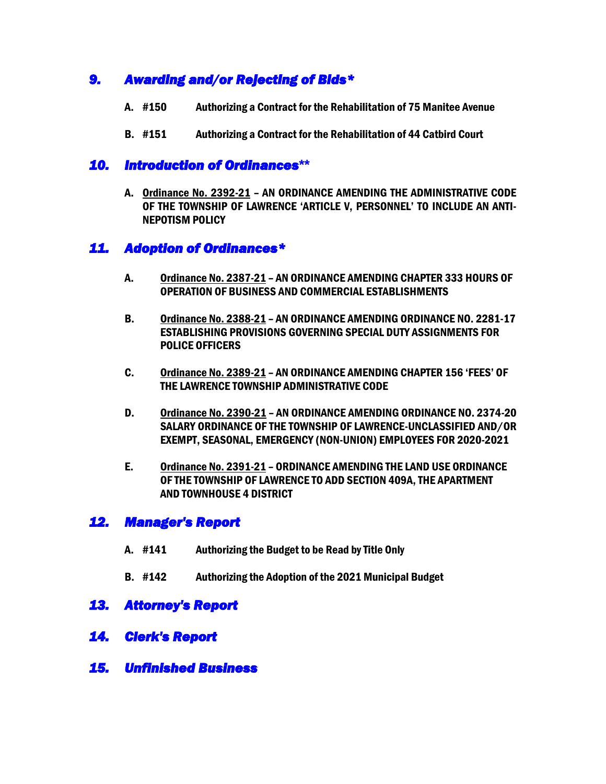# *9. Awarding and/or Rejecting of Bids\**

- A. #150 Authorizing a Contract for the Rehabilitation of 75 Manitee Avenue
- B. #151 Authorizing a Contract for the Rehabilitation of 44 Catbird Court

### *10. Introduction of Ordinances***\*\***

A. Ordinance No. 2392-21 – AN ORDINANCE AMENDING THE ADMINISTRATIVE CODE OF THE TOWNSHIP OF LAWRENCE 'ARTICLE V, PERSONNEL' TO INCLUDE AN ANTI-NEPOTISM POLICY

## *11. Adoption of Ordinances\**

- A. Ordinance No. 2387-21 AN ORDINANCE AMENDING CHAPTER 333 HOURS OF OPERATION OF BUSINESS AND COMMERCIAL ESTABLISHMENTS
- B. Ordinance No. 2388-21 AN ORDINANCE AMENDING ORDINANCE NO. 2281-17 ESTABLISHING PROVISIONS GOVERNING SPECIAL DUTY ASSIGNMENTS FOR POLICE OFFICERS
- C. Ordinance No. 2389-21 AN ORDINANCE AMENDING CHAPTER 156 'FEES' OF THE LAWRENCE TOWNSHIP ADMINISTRATIVE CODE
- D. Ordinance No. 2390-21 AN ORDINANCE AMENDING ORDINANCE NO. 2374-20 SALARY ORDINANCE OF THE TOWNSHIP OF LAWRENCE-UNCLASSIFIED AND/OR EXEMPT, SEASONAL, EMERGENCY (NON-UNION) EMPLOYEES FOR 2020-2021
- E. Ordinance No. 2391-21 ORDINANCE AMENDING THE LAND USE ORDINANCE OF THE TOWNSHIP OF LAWRENCE TO ADD SECTION 409A, THE APARTMENT AND TOWNHOUSE 4 DISTRICT

# *12. Manager's Report*

- A. #141 Authorizing the Budget to be Read by Title Only
- B. #142 Authorizing the Adoption of the 2021 Municipal Budget

## *13. Attorney's Report*

- *14. Clerk's Report*
- *15. Unfinished Business*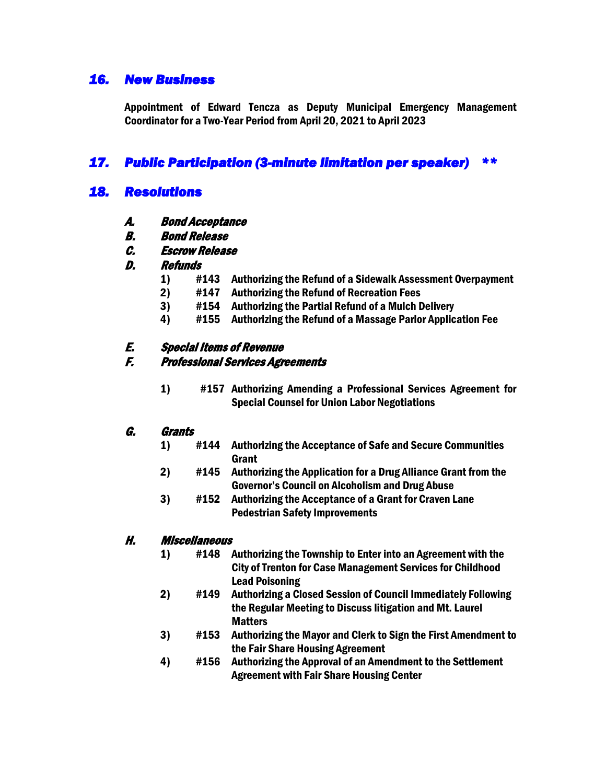# *16. New Business*

Appointment of Edward Tencza as Deputy Municipal Emergency Management Coordinator for a Two-Year Period from April 20, 2021 to April 2023

# *17. Public Participation (3-minute limitation per speaker) \*\**

### *18. Resolutions*

- A. Bond Acceptance
- B. Bond Release
- C. Escrow Release

#### D. Refunds

- 1) #143 Authorizing the Refund of a Sidewalk Assessment Overpayment
- 2) #147 Authorizing the Refund of Recreation Fees
- 3) #154 Authorizing the Partial Refund of a Mulch Delivery
- 4) #155 Authorizing the Refund of a Massage Parlor Application Fee

#### E. Special Items of Revenue

#### F. Professional Services Agreements

1) #157 Authorizing Amending a Professional Services Agreement for Special Counsel for Union Labor Negotiations

#### G. Grants

- 1) #144 Authorizing the Acceptance of Safe and Secure Communities Grant
- 2) #145 Authorizing the Application for a Drug Alliance Grant from the Governor's Council on Alcoholism and Drug Abuse
- 3) #152 Authorizing the Acceptance of a Grant for Craven Lane Pedestrian Safety Improvements

#### H. Miscellaneous

- 1) #148 Authorizing the Township to Enter into an Agreement with the City of Trenton for Case Management Services for Childhood Lead Poisoning
- 2) #149 Authorizing a Closed Session of Council Immediately Following the Regular Meeting to Discuss litigation and Mt. Laurel **Matters**
- 3) #153 Authorizing the Mayor and Clerk to Sign the First Amendment to the Fair Share Housing Agreement
- 4) #156 Authorizing the Approval of an Amendment to the Settlement Agreement with Fair Share Housing Center